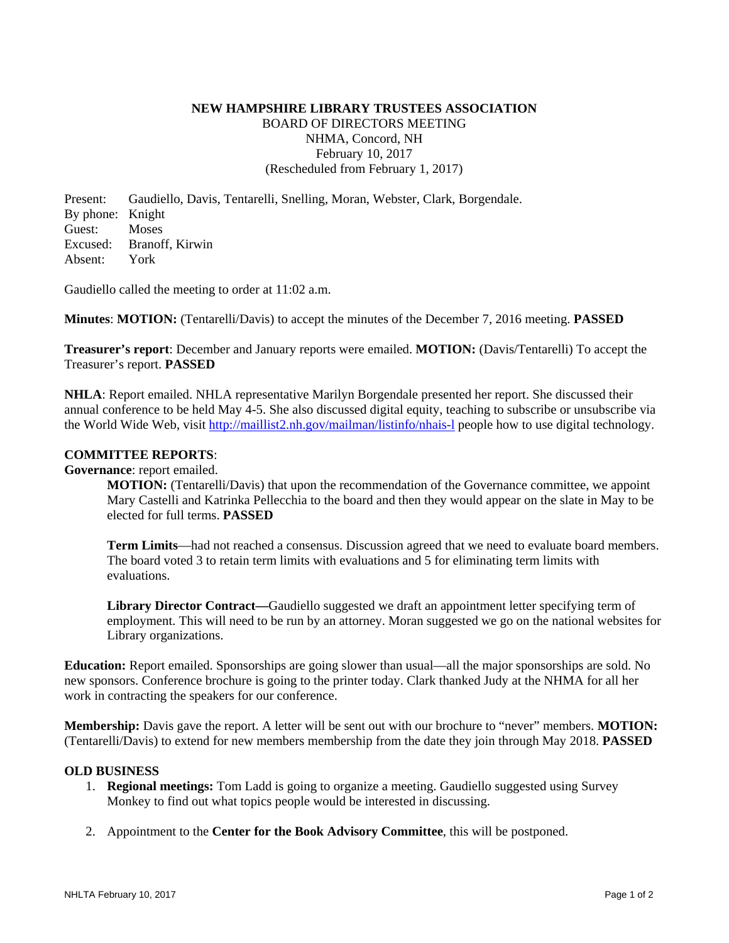# **NEW HAMPSHIRE LIBRARY TRUSTEES ASSOCIATION**  BOARD OF DIRECTORS MEETING NHMA, Concord, NH February 10, 2017 (Rescheduled from February 1, 2017)

Present: Gaudiello, Davis, Tentarelli, Snelling, Moran, Webster, Clark, Borgendale. By phone: Knight Guest: Moses Excused: Branoff, Kirwin Absent: York

Gaudiello called the meeting to order at 11:02 a.m.

**Minutes**: **MOTION:** (Tentarelli/Davis) to accept the minutes of the December 7, 2016 meeting. **PASSED**

**Treasurer's report**: December and January reports were emailed. **MOTION:** (Davis/Tentarelli) To accept the Treasurer's report. **PASSED**

**NHLA**: Report emailed. NHLA representative Marilyn Borgendale presented her report. She discussed their annual conference to be held May 4-5. She also discussed digital equity, teaching to subscribe or unsubscribe via the World Wide Web, visit http://maillist2.nh.gov/mailman/listinfo/nhais-l people how to use digital technology.

## **COMMITTEE REPORTS**:

**Governance**: report emailed.

**MOTION:** (Tentarelli/Davis) that upon the recommendation of the Governance committee, we appoint Mary Castelli and Katrinka Pellecchia to the board and then they would appear on the slate in May to be elected for full terms. **PASSED**

**Term Limits**—had not reached a consensus. Discussion agreed that we need to evaluate board members. The board voted 3 to retain term limits with evaluations and 5 for eliminating term limits with evaluations.

**Library Director Contract—**Gaudiello suggested we draft an appointment letter specifying term of employment. This will need to be run by an attorney. Moran suggested we go on the national websites for Library organizations.

**Education:** Report emailed. Sponsorships are going slower than usual—all the major sponsorships are sold. No new sponsors. Conference brochure is going to the printer today. Clark thanked Judy at the NHMA for all her work in contracting the speakers for our conference.

**Membership:** Davis gave the report. A letter will be sent out with our brochure to "never" members. **MOTION:** (Tentarelli/Davis) to extend for new members membership from the date they join through May 2018. **PASSED**

#### **OLD BUSINESS**

- 1. **Regional meetings:** Tom Ladd is going to organize a meeting. Gaudiello suggested using Survey Monkey to find out what topics people would be interested in discussing.
- 2. Appointment to the **Center for the Book Advisory Committee**, this will be postponed.